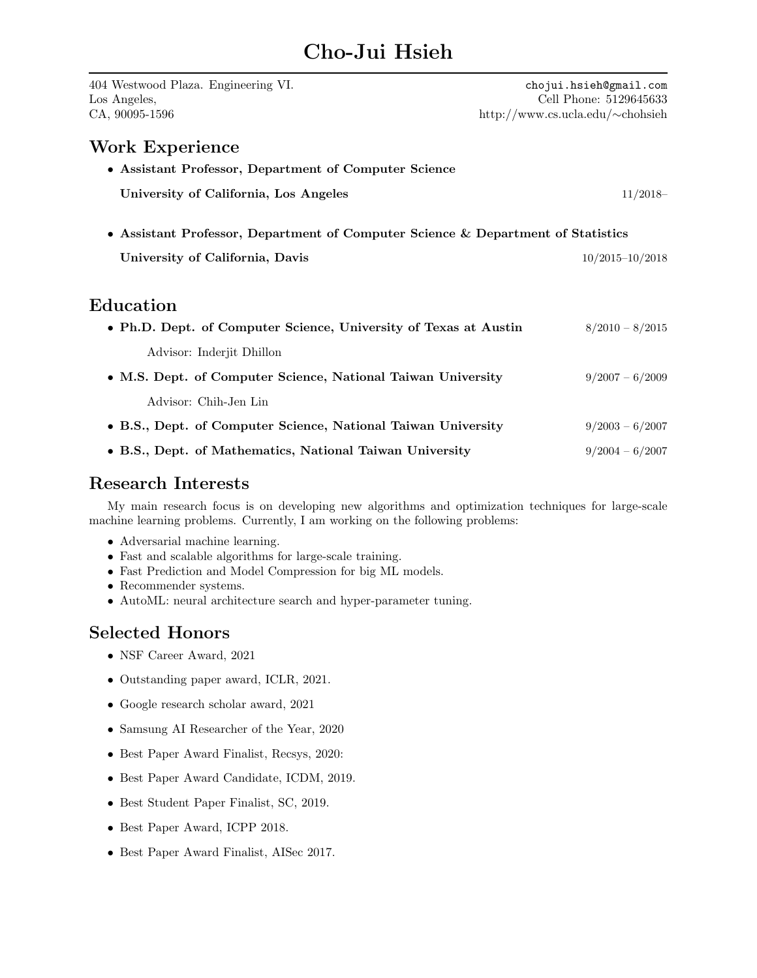# Cho-Jui Hsieh

| 404 Westwood Plaza. Engineering VI.<br>Los Angeles,<br>CA, 90095-1596            | chojui.hsieh@gmail.com<br>Cell Phone: 5129645633<br>http://www.cs.ucla.edu/ $\sim$ chohsieh |
|----------------------------------------------------------------------------------|---------------------------------------------------------------------------------------------|
| <b>Work Experience</b>                                                           |                                                                                             |
| • Assistant Professor, Department of Computer Science                            |                                                                                             |
| University of California, Los Angeles                                            | $11/2018-$                                                                                  |
| • Assistant Professor, Department of Computer Science & Department of Statistics |                                                                                             |
| University of California, Davis                                                  | $10/2015 - 10/2018$                                                                         |
| ${\rm Education}$                                                                |                                                                                             |
| • Ph.D. Dept. of Computer Science, University of Texas at Austin                 | $8/2010 - 8/2015$                                                                           |
| Advisor: Inderjit Dhillon                                                        |                                                                                             |
| • M.S. Dept. of Computer Science, National Taiwan University                     | $9/2007 - 6/2009$                                                                           |
| Advisor: Chih-Jen Lin                                                            |                                                                                             |
| • B.S., Dept. of Computer Science, National Taiwan University                    | $9/2003 - 6/2007$                                                                           |
| • B.S., Dept. of Mathematics, National Taiwan University                         | $9/2004 - 6/2007$                                                                           |

### Research Interests

My main research focus is on developing new algorithms and optimization techniques for large-scale machine learning problems. Currently, I am working on the following problems:

- Adversarial machine learning.
- Fast and scalable algorithms for large-scale training.
- Fast Prediction and Model Compression for big ML models.
- Recommender systems.
- AutoML: neural architecture search and hyper-parameter tuning.

### Selected Honors

- NSF Career Award, 2021
- Outstanding paper award, ICLR, 2021.
- Google research scholar award, 2021
- Samsung AI Researcher of the Year, 2020
- Best Paper Award Finalist, Recsys, 2020:
- Best Paper Award Candidate, ICDM, 2019.
- Best Student Paper Finalist, SC, 2019.
- Best Paper Award, ICPP 2018.
- Best Paper Award Finalist, AISec 2017.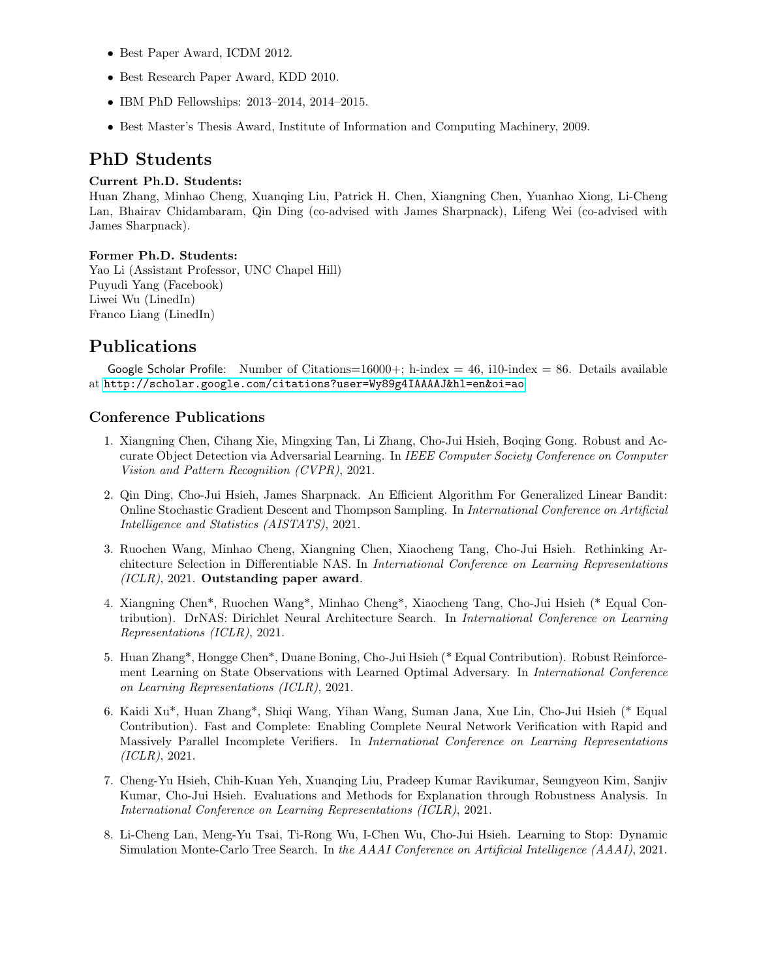- Best Paper Award, ICDM 2012.
- Best Research Paper Award, KDD 2010.
- IBM PhD Fellowships: 2013–2014, 2014–2015.
- Best Master's Thesis Award, Institute of Information and Computing Machinery, 2009.

# PhD Students

#### Current Ph.D. Students:

Huan Zhang, Minhao Cheng, Xuanqing Liu, Patrick H. Chen, Xiangning Chen, Yuanhao Xiong, Li-Cheng Lan, Bhairav Chidambaram, Qin Ding (co-advised with James Sharpnack), Lifeng Wei (co-advised with James Sharpnack).

#### Former Ph.D. Students:

Yao Li (Assistant Professor, UNC Chapel Hill) Puyudi Yang (Facebook) Liwei Wu (LinedIn) Franco Liang (LinedIn)

### Publications

Google Scholar Profile: Number of Citations=16000+; h-index = 46, i10-index = 86. Details available at <http://scholar.google.com/citations?user=Wy89g4IAAAAJ&hl=en&oi=ao>

### Conference Publications

- 1. Xiangning Chen, Cihang Xie, Mingxing Tan, Li Zhang, Cho-Jui Hsieh, Boqing Gong. Robust and Accurate Object Detection via Adversarial Learning. In IEEE Computer Society Conference on Computer Vision and Pattern Recognition (CVPR), 2021.
- 2. Qin Ding, Cho-Jui Hsieh, James Sharpnack. An Efficient Algorithm For Generalized Linear Bandit: Online Stochastic Gradient Descent and Thompson Sampling. In International Conference on Artificial Intelligence and Statistics (AISTATS), 2021.
- 3. Ruochen Wang, Minhao Cheng, Xiangning Chen, Xiaocheng Tang, Cho-Jui Hsieh. Rethinking Architecture Selection in Differentiable NAS. In International Conference on Learning Representations  $(ICLR)$ , 2021. Outstanding paper award.
- 4. Xiangning Chen\*, Ruochen Wang\*, Minhao Cheng\*, Xiaocheng Tang, Cho-Jui Hsieh (\* Equal Contribution). DrNAS: Dirichlet Neural Architecture Search. In International Conference on Learning Representations (ICLR), 2021.
- 5. Huan Zhang\*, Hongge Chen\*, Duane Boning, Cho-Jui Hsieh (\* Equal Contribution). Robust Reinforcement Learning on State Observations with Learned Optimal Adversary. In International Conference on Learning Representations (ICLR), 2021.
- 6. Kaidi Xu\*, Huan Zhang\*, Shiqi Wang, Yihan Wang, Suman Jana, Xue Lin, Cho-Jui Hsieh (\* Equal Contribution). Fast and Complete: Enabling Complete Neural Network Verification with Rapid and Massively Parallel Incomplete Verifiers. In International Conference on Learning Representations (ICLR), 2021.
- 7. Cheng-Yu Hsieh, Chih-Kuan Yeh, Xuanqing Liu, Pradeep Kumar Ravikumar, Seungyeon Kim, Sanjiv Kumar, Cho-Jui Hsieh. Evaluations and Methods for Explanation through Robustness Analysis. In International Conference on Learning Representations (ICLR), 2021.
- 8. Li-Cheng Lan, Meng-Yu Tsai, Ti-Rong Wu, I-Chen Wu, Cho-Jui Hsieh. Learning to Stop: Dynamic Simulation Monte-Carlo Tree Search. In the AAAI Conference on Artificial Intelligence (AAAI), 2021.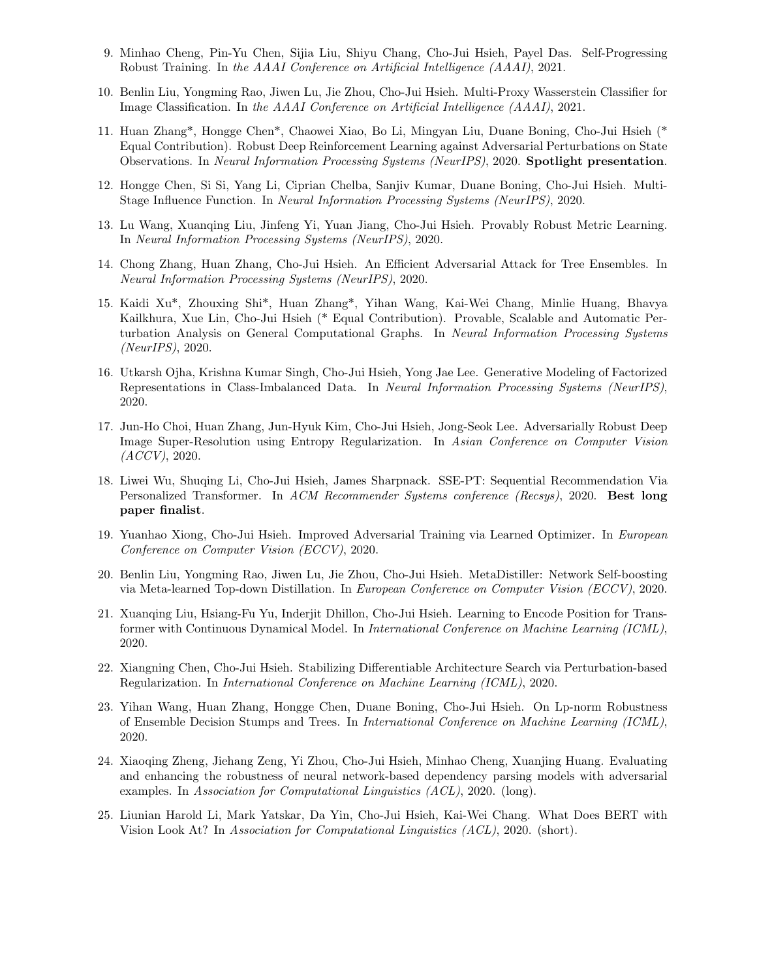- 9. Minhao Cheng, Pin-Yu Chen, Sijia Liu, Shiyu Chang, Cho-Jui Hsieh, Payel Das. Self-Progressing Robust Training. In the AAAI Conference on Artificial Intelligence (AAAI), 2021.
- 10. Benlin Liu, Yongming Rao, Jiwen Lu, Jie Zhou, Cho-Jui Hsieh. Multi-Proxy Wasserstein Classifier for Image Classification. In the AAAI Conference on Artificial Intelligence (AAAI), 2021.
- 11. Huan Zhang\*, Hongge Chen\*, Chaowei Xiao, Bo Li, Mingyan Liu, Duane Boning, Cho-Jui Hsieh (\* Equal Contribution). Robust Deep Reinforcement Learning against Adversarial Perturbations on State Observations. In Neural Information Processing Systems (NeurIPS), 2020. Spotlight presentation.
- 12. Hongge Chen, Si Si, Yang Li, Ciprian Chelba, Sanjiv Kumar, Duane Boning, Cho-Jui Hsieh. Multi-Stage Influence Function. In Neural Information Processing Systems (NeurIPS), 2020.
- 13. Lu Wang, Xuanqing Liu, Jinfeng Yi, Yuan Jiang, Cho-Jui Hsieh. Provably Robust Metric Learning. In Neural Information Processing Systems (NeurIPS), 2020.
- 14. Chong Zhang, Huan Zhang, Cho-Jui Hsieh. An Efficient Adversarial Attack for Tree Ensembles. In Neural Information Processing Systems (NeurIPS), 2020.
- 15. Kaidi Xu\*, Zhouxing Shi\*, Huan Zhang\*, Yihan Wang, Kai-Wei Chang, Minlie Huang, Bhavya Kailkhura, Xue Lin, Cho-Jui Hsieh (\* Equal Contribution). Provable, Scalable and Automatic Perturbation Analysis on General Computational Graphs. In Neural Information Processing Systems (NeurIPS), 2020.
- 16. Utkarsh Ojha, Krishna Kumar Singh, Cho-Jui Hsieh, Yong Jae Lee. Generative Modeling of Factorized Representations in Class-Imbalanced Data. In Neural Information Processing Systems (NeurIPS), 2020.
- 17. Jun-Ho Choi, Huan Zhang, Jun-Hyuk Kim, Cho-Jui Hsieh, Jong-Seok Lee. Adversarially Robust Deep Image Super-Resolution using Entropy Regularization. In Asian Conference on Computer Vision  $(ACCV)$ , 2020.
- 18. Liwei Wu, Shuqing Li, Cho-Jui Hsieh, James Sharpnack. SSE-PT: Sequential Recommendation Via Personalized Transformer. In ACM Recommender Systems conference (Recsys), 2020. Best long paper finalist.
- 19. Yuanhao Xiong, Cho-Jui Hsieh. Improved Adversarial Training via Learned Optimizer. In European Conference on Computer Vision (ECCV), 2020.
- 20. Benlin Liu, Yongming Rao, Jiwen Lu, Jie Zhou, Cho-Jui Hsieh. MetaDistiller: Network Self-boosting via Meta-learned Top-down Distillation. In European Conference on Computer Vision (ECCV), 2020.
- 21. Xuanqing Liu, Hsiang-Fu Yu, Inderjit Dhillon, Cho-Jui Hsieh. Learning to Encode Position for Transformer with Continuous Dynamical Model. In International Conference on Machine Learning (ICML), 2020.
- 22. Xiangning Chen, Cho-Jui Hsieh. Stabilizing Differentiable Architecture Search via Perturbation-based Regularization. In International Conference on Machine Learning (ICML), 2020.
- 23. Yihan Wang, Huan Zhang, Hongge Chen, Duane Boning, Cho-Jui Hsieh. On Lp-norm Robustness of Ensemble Decision Stumps and Trees. In International Conference on Machine Learning (ICML), 2020.
- 24. Xiaoqing Zheng, Jiehang Zeng, Yi Zhou, Cho-Jui Hsieh, Minhao Cheng, Xuanjing Huang. Evaluating and enhancing the robustness of neural network-based dependency parsing models with adversarial examples. In Association for Computational Linguistics (ACL), 2020. (long).
- 25. Liunian Harold Li, Mark Yatskar, Da Yin, Cho-Jui Hsieh, Kai-Wei Chang. What Does BERT with Vision Look At? In Association for Computational Linguistics (ACL), 2020. (short).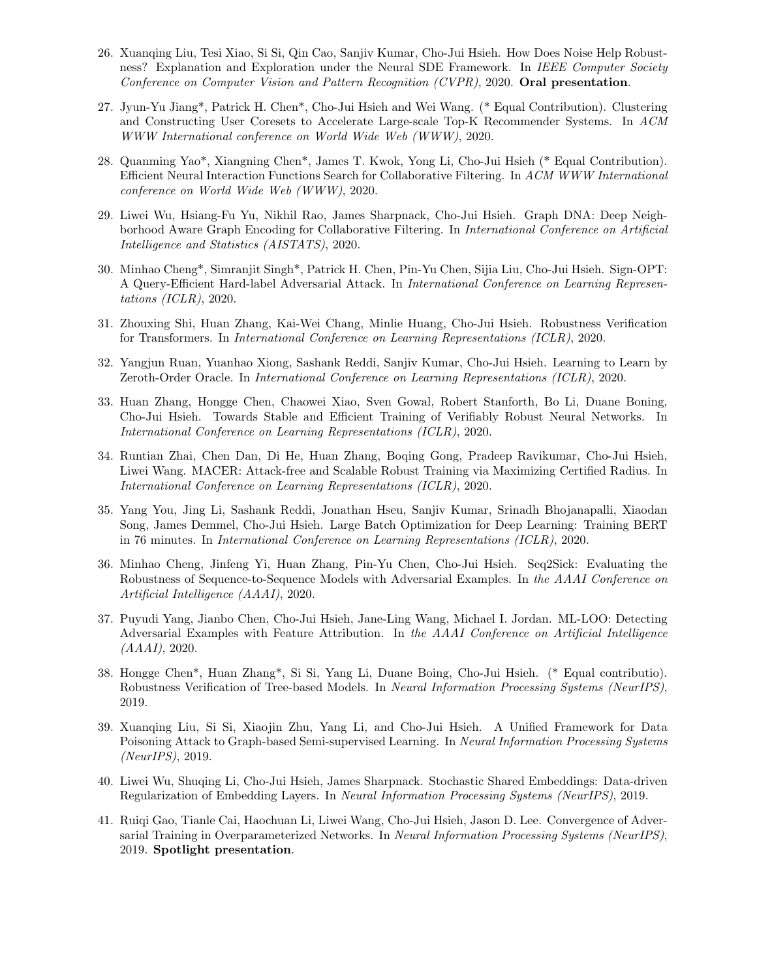- 26. Xuanqing Liu, Tesi Xiao, Si Si, Qin Cao, Sanjiv Kumar, Cho-Jui Hsieh. How Does Noise Help Robustness? Explanation and Exploration under the Neural SDE Framework. In IEEE Computer Society Conference on Computer Vision and Pattern Recognition (CVPR), 2020. Oral presentation.
- 27. Jyun-Yu Jiang\*, Patrick H. Chen\*, Cho-Jui Hsieh and Wei Wang. (\* Equal Contribution). Clustering and Constructing User Coresets to Accelerate Large-scale Top-K Recommender Systems. In ACM WWW International conference on World Wide Web (WWW), 2020.
- 28. Quanming Yao\*, Xiangning Chen\*, James T. Kwok, Yong Li, Cho-Jui Hsieh (\* Equal Contribution). Efficient Neural Interaction Functions Search for Collaborative Filtering. In ACM WWW International conference on World Wide Web (WWW), 2020.
- 29. Liwei Wu, Hsiang-Fu Yu, Nikhil Rao, James Sharpnack, Cho-Jui Hsieh. Graph DNA: Deep Neighborhood Aware Graph Encoding for Collaborative Filtering. In International Conference on Artificial Intelligence and Statistics (AISTATS), 2020.
- 30. Minhao Cheng\*, Simranjit Singh\*, Patrick H. Chen, Pin-Yu Chen, Sijia Liu, Cho-Jui Hsieh. Sign-OPT: A Query-Efficient Hard-label Adversarial Attack. In International Conference on Learning Representations (ICLR), 2020.
- 31. Zhouxing Shi, Huan Zhang, Kai-Wei Chang, Minlie Huang, Cho-Jui Hsieh. Robustness Verification for Transformers. In International Conference on Learning Representations (ICLR), 2020.
- 32. Yangjun Ruan, Yuanhao Xiong, Sashank Reddi, Sanjiv Kumar, Cho-Jui Hsieh. Learning to Learn by Zeroth-Order Oracle. In International Conference on Learning Representations (ICLR), 2020.
- 33. Huan Zhang, Hongge Chen, Chaowei Xiao, Sven Gowal, Robert Stanforth, Bo Li, Duane Boning, Cho-Jui Hsieh. Towards Stable and Efficient Training of Verifiably Robust Neural Networks. In International Conference on Learning Representations (ICLR), 2020.
- 34. Runtian Zhai, Chen Dan, Di He, Huan Zhang, Boqing Gong, Pradeep Ravikumar, Cho-Jui Hsieh, Liwei Wang. MACER: Attack-free and Scalable Robust Training via Maximizing Certified Radius. In International Conference on Learning Representations (ICLR), 2020.
- 35. Yang You, Jing Li, Sashank Reddi, Jonathan Hseu, Sanjiv Kumar, Srinadh Bhojanapalli, Xiaodan Song, James Demmel, Cho-Jui Hsieh. Large Batch Optimization for Deep Learning: Training BERT in 76 minutes. In International Conference on Learning Representations (ICLR), 2020.
- 36. Minhao Cheng, Jinfeng Yi, Huan Zhang, Pin-Yu Chen, Cho-Jui Hsieh. Seq2Sick: Evaluating the Robustness of Sequence-to-Sequence Models with Adversarial Examples. In the AAAI Conference on Artificial Intelligence (AAAI), 2020.
- 37. Puyudi Yang, Jianbo Chen, Cho-Jui Hsieh, Jane-Ling Wang, Michael I. Jordan. ML-LOO: Detecting Adversarial Examples with Feature Attribution. In the AAAI Conference on Artificial Intelligence  $(AAAI), 2020.$
- 38. Hongge Chen\*, Huan Zhang\*, Si Si, Yang Li, Duane Boing, Cho-Jui Hsieh. (\* Equal contributio). Robustness Verification of Tree-based Models. In Neural Information Processing Systems (NeurIPS), 2019.
- 39. Xuanqing Liu, Si Si, Xiaojin Zhu, Yang Li, and Cho-Jui Hsieh. A Unified Framework for Data Poisoning Attack to Graph-based Semi-supervised Learning. In Neural Information Processing Systems (NeurIPS), 2019.
- 40. Liwei Wu, Shuqing Li, Cho-Jui Hsieh, James Sharpnack. Stochastic Shared Embeddings: Data-driven Regularization of Embedding Layers. In Neural Information Processing Systems (NeurIPS), 2019.
- 41. Ruiqi Gao, Tianle Cai, Haochuan Li, Liwei Wang, Cho-Jui Hsieh, Jason D. Lee. Convergence of Adversarial Training in Overparameterized Networks. In Neural Information Processing Systems (NeurIPS), 2019. Spotlight presentation.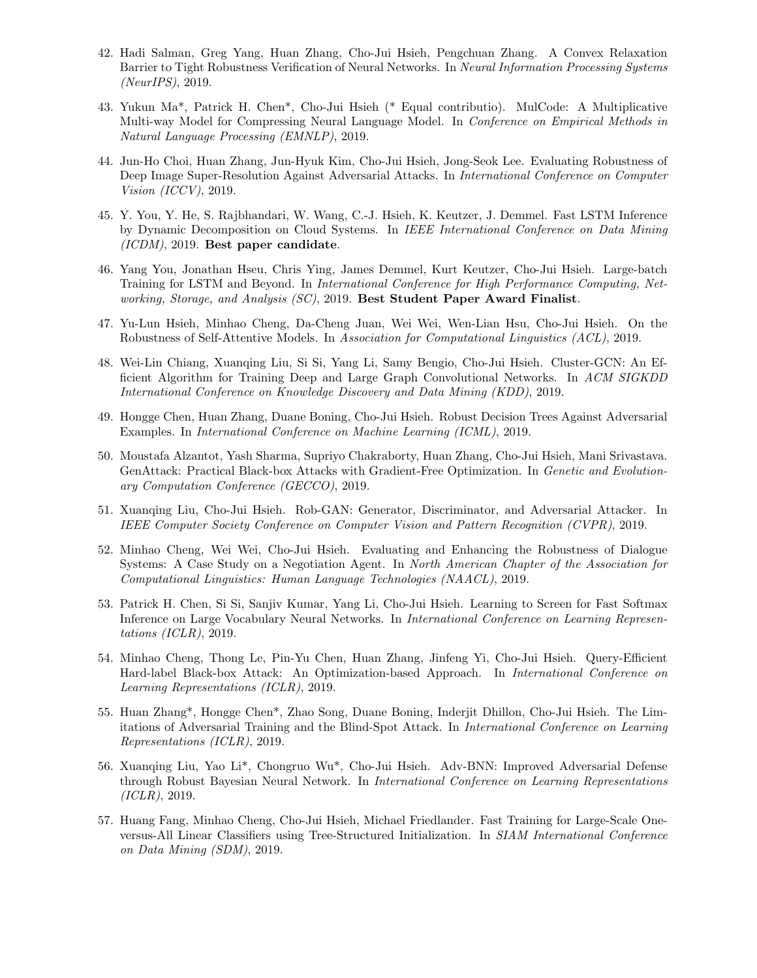- 42. Hadi Salman, Greg Yang, Huan Zhang, Cho-Jui Hsieh, Pengchuan Zhang. A Convex Relaxation Barrier to Tight Robustness Verification of Neural Networks. In Neural Information Processing Systems (NeurIPS), 2019.
- 43. Yukun Ma\*, Patrick H. Chen\*, Cho-Jui Hsieh (\* Equal contributio). MulCode: A Multiplicative Multi-way Model for Compressing Neural Language Model. In Conference on Empirical Methods in Natural Language Processing (EMNLP), 2019.
- 44. Jun-Ho Choi, Huan Zhang, Jun-Hyuk Kim, Cho-Jui Hsieh, Jong-Seok Lee. Evaluating Robustness of Deep Image Super-Resolution Against Adversarial Attacks. In International Conference on Computer Vision (ICCV), 2019.
- 45. Y. You, Y. He, S. Rajbhandari, W. Wang, C.-J. Hsieh, K. Keutzer, J. Demmel. Fast LSTM Inference by Dynamic Decomposition on Cloud Systems. In IEEE International Conference on Data Mining (ICDM), 2019. Best paper candidate.
- 46. Yang You, Jonathan Hseu, Chris Ying, James Demmel, Kurt Keutzer, Cho-Jui Hsieh. Large-batch Training for LSTM and Beyond. In International Conference for High Performance Computing, Networking, Storage, and Analysis (SC), 2019. Best Student Paper Award Finalist.
- 47. Yu-Lun Hsieh, Minhao Cheng, Da-Cheng Juan, Wei Wei, Wen-Lian Hsu, Cho-Jui Hsieh. On the Robustness of Self-Attentive Models. In Association for Computational Linguistics (ACL), 2019.
- 48. Wei-Lin Chiang, Xuanqing Liu, Si Si, Yang Li, Samy Bengio, Cho-Jui Hsieh. Cluster-GCN: An Efficient Algorithm for Training Deep and Large Graph Convolutional Networks. In ACM SIGKDD International Conference on Knowledge Discovery and Data Mining (KDD), 2019.
- 49. Hongge Chen, Huan Zhang, Duane Boning, Cho-Jui Hsieh. Robust Decision Trees Against Adversarial Examples. In International Conference on Machine Learning (ICML), 2019.
- 50. Moustafa Alzantot, Yash Sharma, Supriyo Chakraborty, Huan Zhang, Cho-Jui Hsieh, Mani Srivastava. GenAttack: Practical Black-box Attacks with Gradient-Free Optimization. In Genetic and Evolutionary Computation Conference (GECCO), 2019.
- 51. Xuanqing Liu, Cho-Jui Hsieh. Rob-GAN: Generator, Discriminator, and Adversarial Attacker. In IEEE Computer Society Conference on Computer Vision and Pattern Recognition (CVPR), 2019.
- 52. Minhao Cheng, Wei Wei, Cho-Jui Hsieh. Evaluating and Enhancing the Robustness of Dialogue Systems: A Case Study on a Negotiation Agent. In North American Chapter of the Association for Computational Linguistics: Human Language Technologies (NAACL), 2019.
- 53. Patrick H. Chen, Si Si, Sanjiv Kumar, Yang Li, Cho-Jui Hsieh. Learning to Screen for Fast Softmax Inference on Large Vocabulary Neural Networks. In International Conference on Learning Representations (ICLR), 2019.
- 54. Minhao Cheng, Thong Le, Pin-Yu Chen, Huan Zhang, Jinfeng Yi, Cho-Jui Hsieh. Query-Efficient Hard-label Black-box Attack: An Optimization-based Approach. In International Conference on Learning Representations (ICLR), 2019.
- 55. Huan Zhang\*, Hongge Chen\*, Zhao Song, Duane Boning, Inderjit Dhillon, Cho-Jui Hsieh. The Limitations of Adversarial Training and the Blind-Spot Attack. In International Conference on Learning Representations (ICLR), 2019.
- 56. Xuanqing Liu, Yao Li\*, Chongruo Wu\*, Cho-Jui Hsieh. Adv-BNN: Improved Adversarial Defense through Robust Bayesian Neural Network. In International Conference on Learning Representations (ICLR), 2019.
- 57. Huang Fang, Minhao Cheng, Cho-Jui Hsieh, Michael Friedlander. Fast Training for Large-Scale Oneversus-All Linear Classifiers using Tree-Structured Initialization. In SIAM International Conference on Data Mining (SDM), 2019.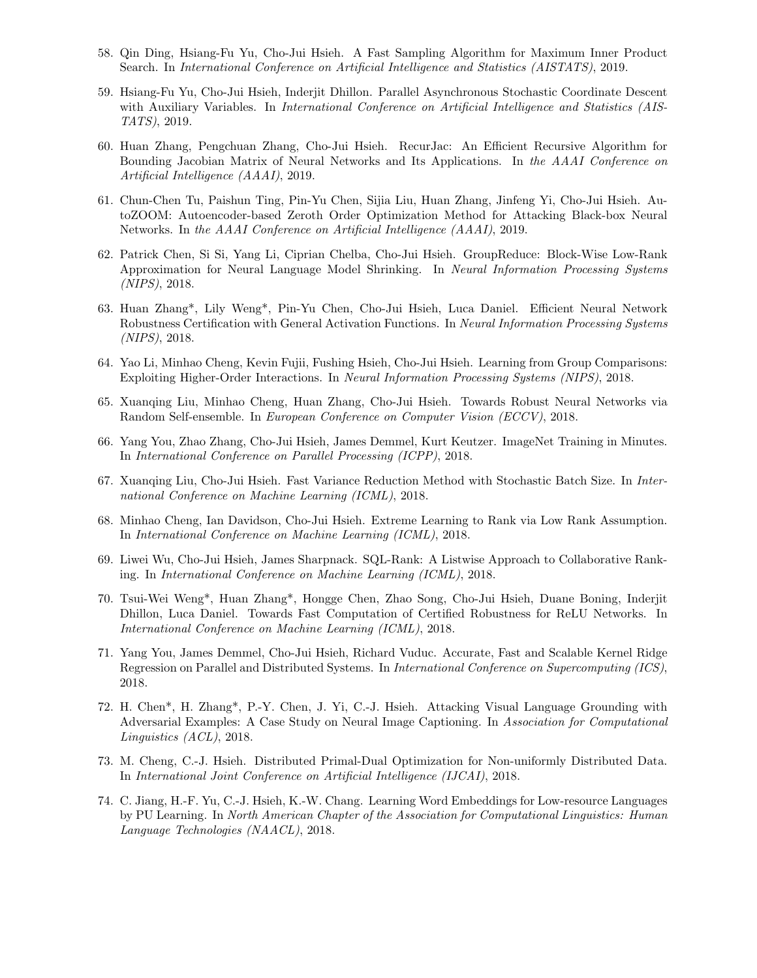- 58. Qin Ding, Hsiang-Fu Yu, Cho-Jui Hsieh. A Fast Sampling Algorithm for Maximum Inner Product Search. In International Conference on Artificial Intelligence and Statistics (AISTATS), 2019.
- 59. Hsiang-Fu Yu, Cho-Jui Hsieh, Inderjit Dhillon. Parallel Asynchronous Stochastic Coordinate Descent with Auxiliary Variables. In *International Conference on Artificial Intelligence and Statistics (AIS-*TATS), 2019.
- 60. Huan Zhang, Pengchuan Zhang, Cho-Jui Hsieh. RecurJac: An Efficient Recursive Algorithm for Bounding Jacobian Matrix of Neural Networks and Its Applications. In the AAAI Conference on Artificial Intelligence (AAAI), 2019.
- 61. Chun-Chen Tu, Paishun Ting, Pin-Yu Chen, Sijia Liu, Huan Zhang, Jinfeng Yi, Cho-Jui Hsieh. AutoZOOM: Autoencoder-based Zeroth Order Optimization Method for Attacking Black-box Neural Networks. In the AAAI Conference on Artificial Intelligence (AAAI), 2019.
- 62. Patrick Chen, Si Si, Yang Li, Ciprian Chelba, Cho-Jui Hsieh. GroupReduce: Block-Wise Low-Rank Approximation for Neural Language Model Shrinking. In Neural Information Processing Systems (NIPS), 2018.
- 63. Huan Zhang\*, Lily Weng\*, Pin-Yu Chen, Cho-Jui Hsieh, Luca Daniel. Efficient Neural Network Robustness Certification with General Activation Functions. In Neural Information Processing Systems (NIPS), 2018.
- 64. Yao Li, Minhao Cheng, Kevin Fujii, Fushing Hsieh, Cho-Jui Hsieh. Learning from Group Comparisons: Exploiting Higher-Order Interactions. In Neural Information Processing Systems (NIPS), 2018.
- 65. Xuanqing Liu, Minhao Cheng, Huan Zhang, Cho-Jui Hsieh. Towards Robust Neural Networks via Random Self-ensemble. In European Conference on Computer Vision (ECCV), 2018.
- 66. Yang You, Zhao Zhang, Cho-Jui Hsieh, James Demmel, Kurt Keutzer. ImageNet Training in Minutes. In International Conference on Parallel Processing (ICPP), 2018.
- 67. Xuanqing Liu, Cho-Jui Hsieh. Fast Variance Reduction Method with Stochastic Batch Size. In International Conference on Machine Learning (ICML), 2018.
- 68. Minhao Cheng, Ian Davidson, Cho-Jui Hsieh. Extreme Learning to Rank via Low Rank Assumption. In International Conference on Machine Learning (ICML), 2018.
- 69. Liwei Wu, Cho-Jui Hsieh, James Sharpnack. SQL-Rank: A Listwise Approach to Collaborative Ranking. In International Conference on Machine Learning (ICML), 2018.
- 70. Tsui-Wei Weng\*, Huan Zhang\*, Hongge Chen, Zhao Song, Cho-Jui Hsieh, Duane Boning, Inderjit Dhillon, Luca Daniel. Towards Fast Computation of Certified Robustness for ReLU Networks. In International Conference on Machine Learning (ICML), 2018.
- 71. Yang You, James Demmel, Cho-Jui Hsieh, Richard Vuduc. Accurate, Fast and Scalable Kernel Ridge Regression on Parallel and Distributed Systems. In International Conference on Supercomputing (ICS), 2018.
- 72. H. Chen\*, H. Zhang\*, P.-Y. Chen, J. Yi, C.-J. Hsieh. Attacking Visual Language Grounding with Adversarial Examples: A Case Study on Neural Image Captioning. In Association for Computational Linguistics (ACL), 2018.
- 73. M. Cheng, C.-J. Hsieh. Distributed Primal-Dual Optimization for Non-uniformly Distributed Data. In International Joint Conference on Artificial Intelligence (IJCAI), 2018.
- 74. C. Jiang, H.-F. Yu, C.-J. Hsieh, K.-W. Chang. Learning Word Embeddings for Low-resource Languages by PU Learning. In North American Chapter of the Association for Computational Linguistics: Human Language Technologies (NAACL), 2018.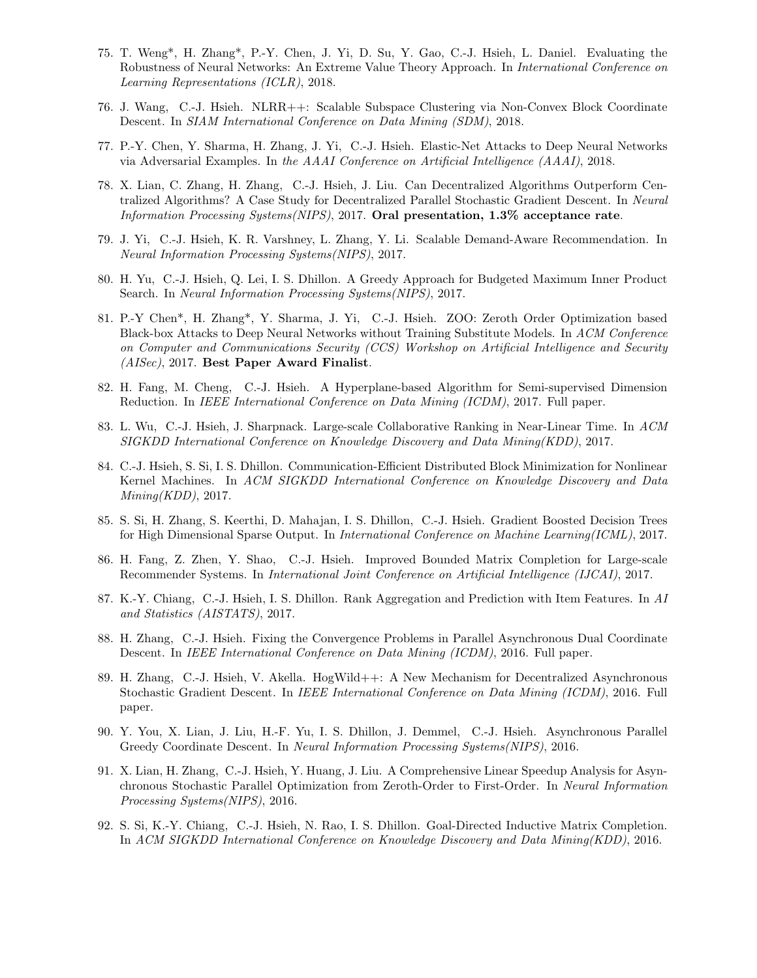- 75. T. Weng\*, H. Zhang\*, P.-Y. Chen, J. Yi, D. Su, Y. Gao, C.-J. Hsieh, L. Daniel. Evaluating the Robustness of Neural Networks: An Extreme Value Theory Approach. In International Conference on Learning Representations (ICLR), 2018.
- 76. J. Wang, C.-J. Hsieh. NLRR++: Scalable Subspace Clustering via Non-Convex Block Coordinate Descent. In SIAM International Conference on Data Mining (SDM), 2018.
- 77. P.-Y. Chen, Y. Sharma, H. Zhang, J. Yi, C.-J. Hsieh. Elastic-Net Attacks to Deep Neural Networks via Adversarial Examples. In the AAAI Conference on Artificial Intelligence (AAAI), 2018.
- 78. X. Lian, C. Zhang, H. Zhang, C.-J. Hsieh, J. Liu. Can Decentralized Algorithms Outperform Centralized Algorithms? A Case Study for Decentralized Parallel Stochastic Gradient Descent. In Neural Information Processing Systems(NIPS), 2017. Oral presentation, 1.3% acceptance rate.
- 79. J. Yi, C.-J. Hsieh, K. R. Varshney, L. Zhang, Y. Li. Scalable Demand-Aware Recommendation. In Neural Information Processing Systems(NIPS), 2017.
- 80. H. Yu, C.-J. Hsieh, Q. Lei, I. S. Dhillon. A Greedy Approach for Budgeted Maximum Inner Product Search. In Neural Information Processing Systems(NIPS), 2017.
- 81. P.-Y Chen\*, H. Zhang\*, Y. Sharma, J. Yi, C.-J. Hsieh. ZOO: Zeroth Order Optimization based Black-box Attacks to Deep Neural Networks without Training Substitute Models. In ACM Conference on Computer and Communications Security (CCS) Workshop on Artificial Intelligence and Security (AISec), 2017. Best Paper Award Finalist.
- 82. H. Fang, M. Cheng, C.-J. Hsieh. A Hyperplane-based Algorithm for Semi-supervised Dimension Reduction. In IEEE International Conference on Data Mining (ICDM), 2017. Full paper.
- 83. L. Wu, C.-J. Hsieh, J. Sharpnack. Large-scale Collaborative Ranking in Near-Linear Time. In ACM SIGKDD International Conference on Knowledge Discovery and Data Mining(KDD), 2017.
- 84. C.-J. Hsieh, S. Si, I. S. Dhillon. Communication-Efficient Distributed Block Minimization for Nonlinear Kernel Machines. In ACM SIGKDD International Conference on Knowledge Discovery and Data  $Mining(KDD), 2017.$
- 85. S. Si, H. Zhang, S. Keerthi, D. Mahajan, I. S. Dhillon, C.-J. Hsieh. Gradient Boosted Decision Trees for High Dimensional Sparse Output. In International Conference on Machine Learning(ICML), 2017.
- 86. H. Fang, Z. Zhen, Y. Shao, C.-J. Hsieh. Improved Bounded Matrix Completion for Large-scale Recommender Systems. In International Joint Conference on Artificial Intelligence (IJCAI), 2017.
- 87. K.-Y. Chiang, C.-J. Hsieh, I. S. Dhillon. Rank Aggregation and Prediction with Item Features. In AI and Statistics (AISTATS), 2017.
- 88. H. Zhang, C.-J. Hsieh. Fixing the Convergence Problems in Parallel Asynchronous Dual Coordinate Descent. In IEEE International Conference on Data Mining (ICDM), 2016. Full paper.
- 89. H. Zhang, C.-J. Hsieh, V. Akella. HogWild++: A New Mechanism for Decentralized Asynchronous Stochastic Gradient Descent. In IEEE International Conference on Data Mining (ICDM), 2016. Full paper.
- 90. Y. You, X. Lian, J. Liu, H.-F. Yu, I. S. Dhillon, J. Demmel, C.-J. Hsieh. Asynchronous Parallel Greedy Coordinate Descent. In Neural Information Processing Systems(NIPS), 2016.
- 91. X. Lian, H. Zhang, C.-J. Hsieh, Y. Huang, J. Liu. A Comprehensive Linear Speedup Analysis for Asynchronous Stochastic Parallel Optimization from Zeroth-Order to First-Order. In Neural Information Processing Systems(NIPS), 2016.
- 92. S. Si, K.-Y. Chiang, C.-J. Hsieh, N. Rao, I. S. Dhillon. Goal-Directed Inductive Matrix Completion. In ACM SIGKDD International Conference on Knowledge Discovery and Data Mining(KDD), 2016.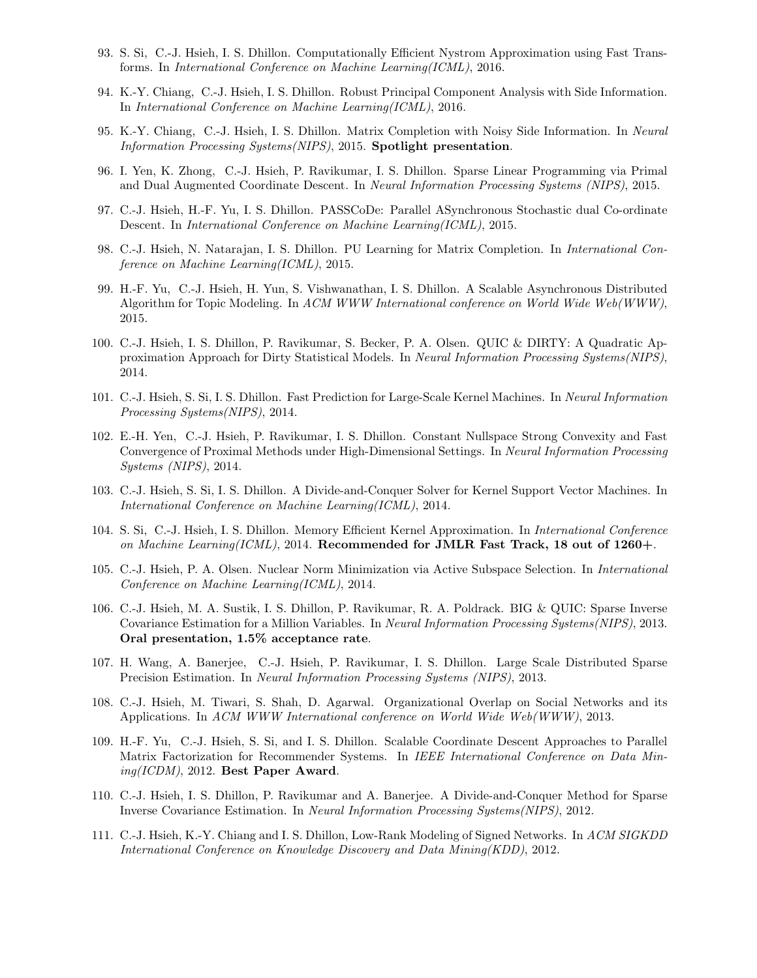- 93. S. Si, C.-J. Hsieh, I. S. Dhillon. Computationally Efficient Nystrom Approximation using Fast Transforms. In International Conference on Machine Learning(ICML), 2016.
- 94. K.-Y. Chiang, C.-J. Hsieh, I. S. Dhillon. Robust Principal Component Analysis with Side Information. In International Conference on Machine Learning(ICML), 2016.
- 95. K.-Y. Chiang, C.-J. Hsieh, I. S. Dhillon. Matrix Completion with Noisy Side Information. In Neural Information Processing Systems(NIPS), 2015. Spotlight presentation.
- 96. I. Yen, K. Zhong, C.-J. Hsieh, P. Ravikumar, I. S. Dhillon. Sparse Linear Programming via Primal and Dual Augmented Coordinate Descent. In Neural Information Processing Systems (NIPS), 2015.
- 97. C.-J. Hsieh, H.-F. Yu, I. S. Dhillon. PASSCoDe: Parallel ASynchronous Stochastic dual Co-ordinate Descent. In International Conference on Machine Learning(ICML), 2015.
- 98. C.-J. Hsieh, N. Natarajan, I. S. Dhillon. PU Learning for Matrix Completion. In International Conference on Machine Learning(ICML), 2015.
- 99. H.-F. Yu, C.-J. Hsieh, H. Yun, S. Vishwanathan, I. S. Dhillon. A Scalable Asynchronous Distributed Algorithm for Topic Modeling. In ACM WWW International conference on World Wide Web(WWW), 2015.
- 100. C.-J. Hsieh, I. S. Dhillon, P. Ravikumar, S. Becker, P. A. Olsen. QUIC & DIRTY: A Quadratic Approximation Approach for Dirty Statistical Models. In Neural Information Processing Systems(NIPS), 2014.
- 101. C.-J. Hsieh, S. Si, I. S. Dhillon. Fast Prediction for Large-Scale Kernel Machines. In Neural Information Processing Systems(NIPS), 2014.
- 102. E.-H. Yen, C.-J. Hsieh, P. Ravikumar, I. S. Dhillon. Constant Nullspace Strong Convexity and Fast Convergence of Proximal Methods under High-Dimensional Settings. In Neural Information Processing Systems (NIPS), 2014.
- 103. C.-J. Hsieh, S. Si, I. S. Dhillon. A Divide-and-Conquer Solver for Kernel Support Vector Machines. In International Conference on Machine Learning(ICML), 2014.
- 104. S. Si, C.-J. Hsieh, I. S. Dhillon. Memory Efficient Kernel Approximation. In International Conference on Machine Learning(ICML), 2014. Recommended for JMLR Fast Track, 18 out of  $1260+$ .
- 105. C.-J. Hsieh, P. A. Olsen. Nuclear Norm Minimization via Active Subspace Selection. In International Conference on Machine Learning(ICML), 2014.
- 106. C.-J. Hsieh, M. A. Sustik, I. S. Dhillon, P. Ravikumar, R. A. Poldrack. BIG & QUIC: Sparse Inverse Covariance Estimation for a Million Variables. In Neural Information Processing Systems(NIPS), 2013. Oral presentation, 1.5% acceptance rate.
- 107. H. Wang, A. Banerjee, C.-J. Hsieh, P. Ravikumar, I. S. Dhillon. Large Scale Distributed Sparse Precision Estimation. In Neural Information Processing Systems (NIPS), 2013.
- 108. C.-J. Hsieh, M. Tiwari, S. Shah, D. Agarwal. Organizational Overlap on Social Networks and its Applications. In ACM WWW International conference on World Wide Web(WWW), 2013.
- 109. H.-F. Yu, C.-J. Hsieh, S. Si, and I. S. Dhillon. Scalable Coordinate Descent Approaches to Parallel Matrix Factorization for Recommender Systems. In IEEE International Conference on Data Mining(ICDM), 2012. Best Paper Award.
- 110. C.-J. Hsieh, I. S. Dhillon, P. Ravikumar and A. Banerjee. A Divide-and-Conquer Method for Sparse Inverse Covariance Estimation. In Neural Information Processing Systems(NIPS), 2012.
- 111. C.-J. Hsieh, K.-Y. Chiang and I. S. Dhillon, Low-Rank Modeling of Signed Networks. In ACM SIGKDD International Conference on Knowledge Discovery and Data Mining(KDD), 2012.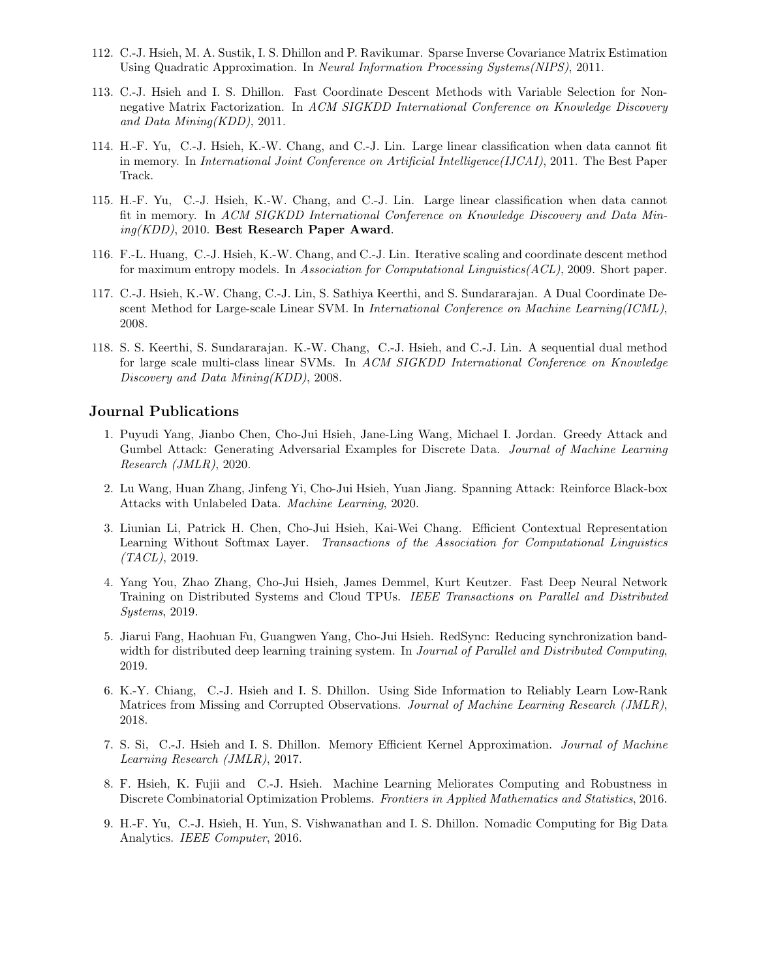- 112. C.-J. Hsieh, M. A. Sustik, I. S. Dhillon and P. Ravikumar. Sparse Inverse Covariance Matrix Estimation Using Quadratic Approximation. In Neural Information Processing Systems(NIPS), 2011.
- 113. C.-J. Hsieh and I. S. Dhillon. Fast Coordinate Descent Methods with Variable Selection for Nonnegative Matrix Factorization. In ACM SIGKDD International Conference on Knowledge Discovery and Data Mining(KDD), 2011.
- 114. H.-F. Yu, C.-J. Hsieh, K.-W. Chang, and C.-J. Lin. Large linear classification when data cannot fit in memory. In International Joint Conference on Artificial Intelligence(IJCAI), 2011. The Best Paper Track.
- 115. H.-F. Yu, C.-J. Hsieh, K.-W. Chang, and C.-J. Lin. Large linear classification when data cannot fit in memory. In ACM SIGKDD International Conference on Knowledge Discovery and Data Mining(KDD), 2010. Best Research Paper Award.
- 116. F.-L. Huang, C.-J. Hsieh, K.-W. Chang, and C.-J. Lin. Iterative scaling and coordinate descent method for maximum entropy models. In Association for Computational Linguistics(ACL), 2009. Short paper.
- 117. C.-J. Hsieh, K.-W. Chang, C.-J. Lin, S. Sathiya Keerthi, and S. Sundararajan. A Dual Coordinate Descent Method for Large-scale Linear SVM. In International Conference on Machine Learning(ICML), 2008.
- 118. S. S. Keerthi, S. Sundararajan. K.-W. Chang, C.-J. Hsieh, and C.-J. Lin. A sequential dual method for large scale multi-class linear SVMs. In ACM SIGKDD International Conference on Knowledge Discovery and Data Mining(KDD), 2008.

#### Journal Publications

- 1. Puyudi Yang, Jianbo Chen, Cho-Jui Hsieh, Jane-Ling Wang, Michael I. Jordan. Greedy Attack and Gumbel Attack: Generating Adversarial Examples for Discrete Data. Journal of Machine Learning Research (JMLR), 2020.
- 2. Lu Wang, Huan Zhang, Jinfeng Yi, Cho-Jui Hsieh, Yuan Jiang. Spanning Attack: Reinforce Black-box Attacks with Unlabeled Data. Machine Learning, 2020.
- 3. Liunian Li, Patrick H. Chen, Cho-Jui Hsieh, Kai-Wei Chang. Efficient Contextual Representation Learning Without Softmax Layer. Transactions of the Association for Computational Linguistics  $(TACL)$ , 2019.
- 4. Yang You, Zhao Zhang, Cho-Jui Hsieh, James Demmel, Kurt Keutzer. Fast Deep Neural Network Training on Distributed Systems and Cloud TPUs. IEEE Transactions on Parallel and Distributed Systems, 2019.
- 5. Jiarui Fang, Haohuan Fu, Guangwen Yang, Cho-Jui Hsieh. RedSync: Reducing synchronization bandwidth for distributed deep learning training system. In *Journal of Parallel and Distributed Computing*, 2019.
- 6. K.-Y. Chiang, C.-J. Hsieh and I. S. Dhillon. Using Side Information to Reliably Learn Low-Rank Matrices from Missing and Corrupted Observations. Journal of Machine Learning Research (JMLR), 2018.
- 7. S. Si, C.-J. Hsieh and I. S. Dhillon. Memory Efficient Kernel Approximation. Journal of Machine Learning Research (JMLR), 2017.
- 8. F. Hsieh, K. Fujii and C.-J. Hsieh. Machine Learning Meliorates Computing and Robustness in Discrete Combinatorial Optimization Problems. Frontiers in Applied Mathematics and Statistics, 2016.
- 9. H.-F. Yu, C.-J. Hsieh, H. Yun, S. Vishwanathan and I. S. Dhillon. Nomadic Computing for Big Data Analytics. IEEE Computer, 2016.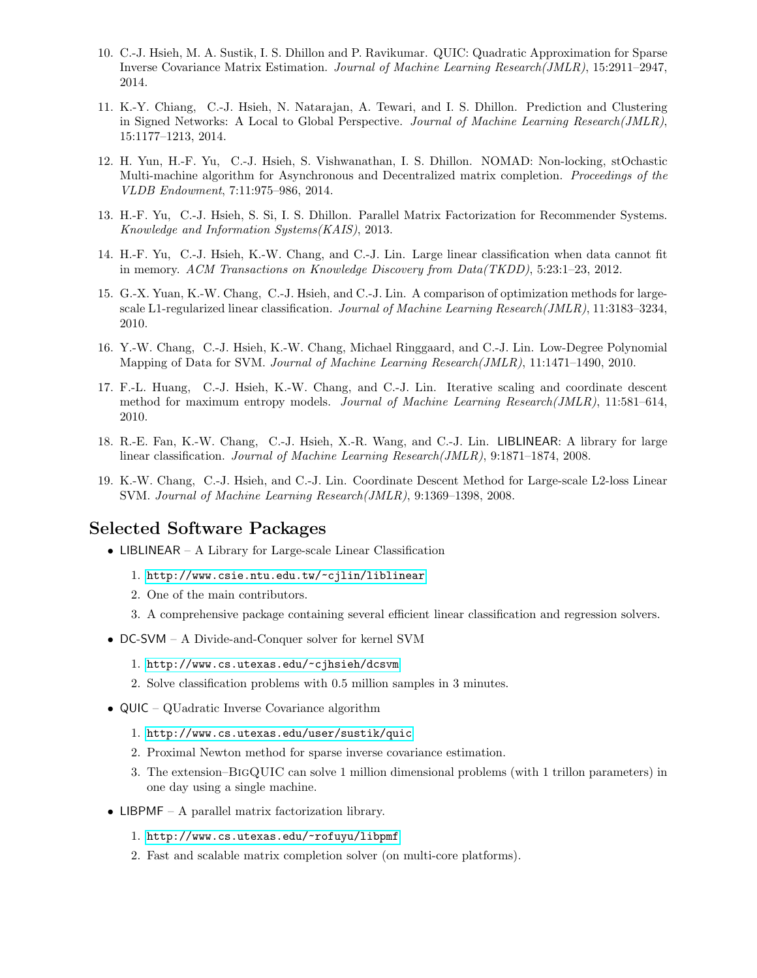- 10. C.-J. Hsieh, M. A. Sustik, I. S. Dhillon and P. Ravikumar. QUIC: Quadratic Approximation for Sparse Inverse Covariance Matrix Estimation. Journal of Machine Learning Research(JMLR), 15:2911–2947, 2014.
- 11. K.-Y. Chiang, C.-J. Hsieh, N. Natarajan, A. Tewari, and I. S. Dhillon. Prediction and Clustering in Signed Networks: A Local to Global Perspective. Journal of Machine Learning Research(JMLR), 15:1177–1213, 2014.
- 12. H. Yun, H.-F. Yu, C.-J. Hsieh, S. Vishwanathan, I. S. Dhillon. NOMAD: Non-locking, stOchastic Multi-machine algorithm for Asynchronous and Decentralized matrix completion. Proceedings of the VLDB Endowment, 7:11:975–986, 2014.
- 13. H.-F. Yu, C.-J. Hsieh, S. Si, I. S. Dhillon. Parallel Matrix Factorization for Recommender Systems. Knowledge and Information Systems(KAIS), 2013.
- 14. H.-F. Yu, C.-J. Hsieh, K.-W. Chang, and C.-J. Lin. Large linear classification when data cannot fit in memory. ACM Transactions on Knowledge Discovery from Data(TKDD), 5:23:1–23, 2012.
- 15. G.-X. Yuan, K.-W. Chang, C.-J. Hsieh, and C.-J. Lin. A comparison of optimization methods for largescale L1-regularized linear classification. Journal of Machine Learning Research(JMLR), 11:3183–3234, 2010.
- 16. Y.-W. Chang, C.-J. Hsieh, K.-W. Chang, Michael Ringgaard, and C.-J. Lin. Low-Degree Polynomial Mapping of Data for SVM. Journal of Machine Learning Research(JMLR), 11:1471–1490, 2010.
- 17. F.-L. Huang, C.-J. Hsieh, K.-W. Chang, and C.-J. Lin. Iterative scaling and coordinate descent method for maximum entropy models. Journal of Machine Learning Research(JMLR), 11:581–614, 2010.
- 18. R.-E. Fan, K.-W. Chang, C.-J. Hsieh, X.-R. Wang, and C.-J. Lin. LIBLINEAR: A library for large linear classification. Journal of Machine Learning Research(JMLR), 9:1871–1874, 2008.
- 19. K.-W. Chang, C.-J. Hsieh, and C.-J. Lin. Coordinate Descent Method for Large-scale L2-loss Linear SVM. Journal of Machine Learning Research(JMLR), 9:1369–1398, 2008.

### Selected Software Packages

- LIBLINEAR A Library for Large-scale Linear Classification
	- 1. <http://www.csie.ntu.edu.tw/~cjlin/liblinear>
	- 2. One of the main contributors.
	- 3. A comprehensive package containing several efficient linear classification and regression solvers.
- DC-SVM A Divide-and-Conquer solver for kernel SVM
	- 1. <http://www.cs.utexas.edu/~cjhsieh/dcsvm>
	- 2. Solve classification problems with 0.5 million samples in 3 minutes.
- QUIC QUadratic Inverse Covariance algorithm
	- 1. <http://www.cs.utexas.edu/user/sustik/quic>
	- 2. Proximal Newton method for sparse inverse covariance estimation.
	- 3. The extension–BigQUIC can solve 1 million dimensional problems (with 1 trillon parameters) in one day using a single machine.
- LIBPMF A parallel matrix factorization library.
	- 1. <http://www.cs.utexas.edu/~rofuyu/libpmf>
	- 2. Fast and scalable matrix completion solver (on multi-core platforms).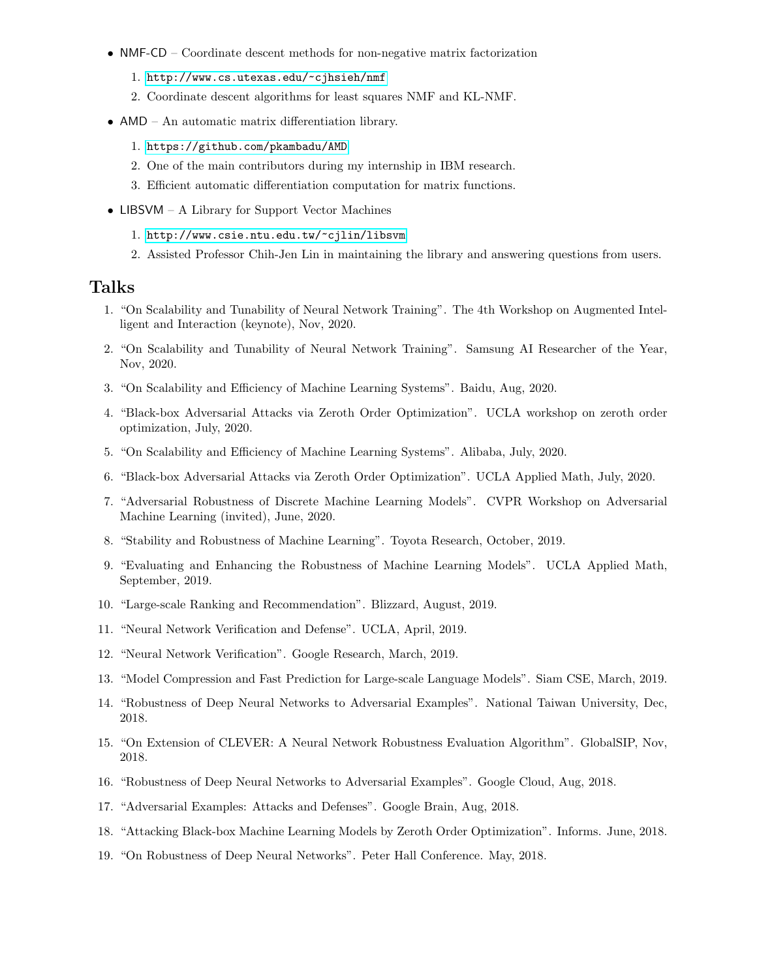- NMF-CD Coordinate descent methods for non-negative matrix factorization
	- 1. <http://www.cs.utexas.edu/~cjhsieh/nmf>
	- 2. Coordinate descent algorithms for least squares NMF and KL-NMF.
- AMD An automatic matrix differentiation library.
	- 1. <https://github.com/pkambadu/AMD>
	- 2. One of the main contributors during my internship in IBM research.
	- 3. Efficient automatic differentiation computation for matrix functions.
- LIBSVM A Library for Support Vector Machines
	- 1. <http://www.csie.ntu.edu.tw/~cjlin/libsvm>
	- 2. Assisted Professor Chih-Jen Lin in maintaining the library and answering questions from users.

#### Talks

- 1. "On Scalability and Tunability of Neural Network Training". The 4th Workshop on Augmented Intelligent and Interaction (keynote), Nov, 2020.
- 2. "On Scalability and Tunability of Neural Network Training". Samsung AI Researcher of the Year, Nov, 2020.
- 3. "On Scalability and Efficiency of Machine Learning Systems". Baidu, Aug, 2020.
- 4. "Black-box Adversarial Attacks via Zeroth Order Optimization". UCLA workshop on zeroth order optimization, July, 2020.
- 5. "On Scalability and Efficiency of Machine Learning Systems". Alibaba, July, 2020.
- 6. "Black-box Adversarial Attacks via Zeroth Order Optimization". UCLA Applied Math, July, 2020.
- 7. "Adversarial Robustness of Discrete Machine Learning Models". CVPR Workshop on Adversarial Machine Learning (invited), June, 2020.
- 8. "Stability and Robustness of Machine Learning". Toyota Research, October, 2019.
- 9. "Evaluating and Enhancing the Robustness of Machine Learning Models". UCLA Applied Math, September, 2019.
- 10. "Large-scale Ranking and Recommendation". Blizzard, August, 2019.
- 11. "Neural Network Verification and Defense". UCLA, April, 2019.
- 12. "Neural Network Verification". Google Research, March, 2019.
- 13. "Model Compression and Fast Prediction for Large-scale Language Models". Siam CSE, March, 2019.
- 14. "Robustness of Deep Neural Networks to Adversarial Examples". National Taiwan University, Dec, 2018.
- 15. "On Extension of CLEVER: A Neural Network Robustness Evaluation Algorithm". GlobalSIP, Nov, 2018.
- 16. "Robustness of Deep Neural Networks to Adversarial Examples". Google Cloud, Aug, 2018.
- 17. "Adversarial Examples: Attacks and Defenses". Google Brain, Aug, 2018.
- 18. "Attacking Black-box Machine Learning Models by Zeroth Order Optimization". Informs. June, 2018.
- 19. "On Robustness of Deep Neural Networks". Peter Hall Conference. May, 2018.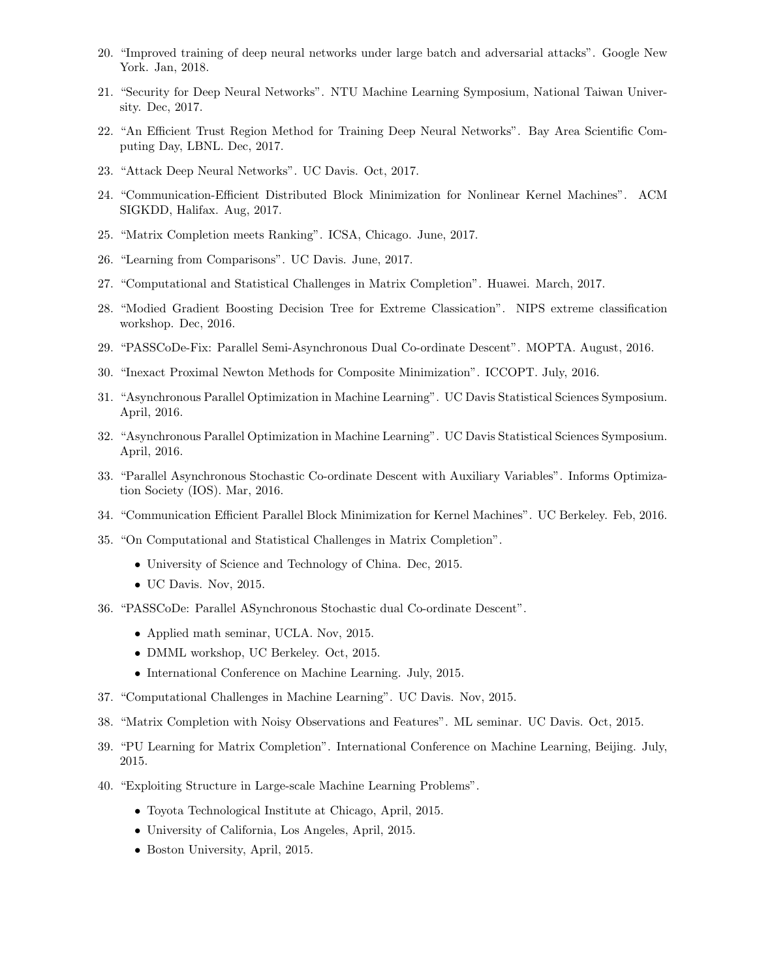- 20. "Improved training of deep neural networks under large batch and adversarial attacks". Google New York. Jan, 2018.
- 21. "Security for Deep Neural Networks". NTU Machine Learning Symposium, National Taiwan University. Dec, 2017.
- 22. "An Efficient Trust Region Method for Training Deep Neural Networks". Bay Area Scientific Computing Day, LBNL. Dec, 2017.
- 23. "Attack Deep Neural Networks". UC Davis. Oct, 2017.
- 24. "Communication-Efficient Distributed Block Minimization for Nonlinear Kernel Machines". ACM SIGKDD, Halifax. Aug, 2017.
- 25. "Matrix Completion meets Ranking". ICSA, Chicago. June, 2017.
- 26. "Learning from Comparisons". UC Davis. June, 2017.
- 27. "Computational and Statistical Challenges in Matrix Completion". Huawei. March, 2017.
- 28. "Modied Gradient Boosting Decision Tree for Extreme Classication". NIPS extreme classification workshop. Dec, 2016.
- 29. "PASSCoDe-Fix: Parallel Semi-Asynchronous Dual Co-ordinate Descent". MOPTA. August, 2016.
- 30. "Inexact Proximal Newton Methods for Composite Minimization". ICCOPT. July, 2016.
- 31. "Asynchronous Parallel Optimization in Machine Learning". UC Davis Statistical Sciences Symposium. April, 2016.
- 32. "Asynchronous Parallel Optimization in Machine Learning". UC Davis Statistical Sciences Symposium. April, 2016.
- 33. "Parallel Asynchronous Stochastic Co-ordinate Descent with Auxiliary Variables". Informs Optimization Society (IOS). Mar, 2016.
- 34. "Communication Efficient Parallel Block Minimization for Kernel Machines". UC Berkeley. Feb, 2016.
- 35. "On Computational and Statistical Challenges in Matrix Completion".
	- University of Science and Technology of China. Dec, 2015.
	- UC Davis. Nov, 2015.
- 36. "PASSCoDe: Parallel ASynchronous Stochastic dual Co-ordinate Descent".
	- Applied math seminar, UCLA. Nov, 2015.
	- DMML workshop, UC Berkeley. Oct, 2015.
	- International Conference on Machine Learning. July, 2015.
- 37. "Computational Challenges in Machine Learning". UC Davis. Nov, 2015.
- 38. "Matrix Completion with Noisy Observations and Features". ML seminar. UC Davis. Oct, 2015.
- 39. "PU Learning for Matrix Completion". International Conference on Machine Learning, Beijing. July, 2015.
- 40. "Exploiting Structure in Large-scale Machine Learning Problems".
	- Toyota Technological Institute at Chicago, April, 2015.
	- University of California, Los Angeles, April, 2015.
	- Boston University, April, 2015.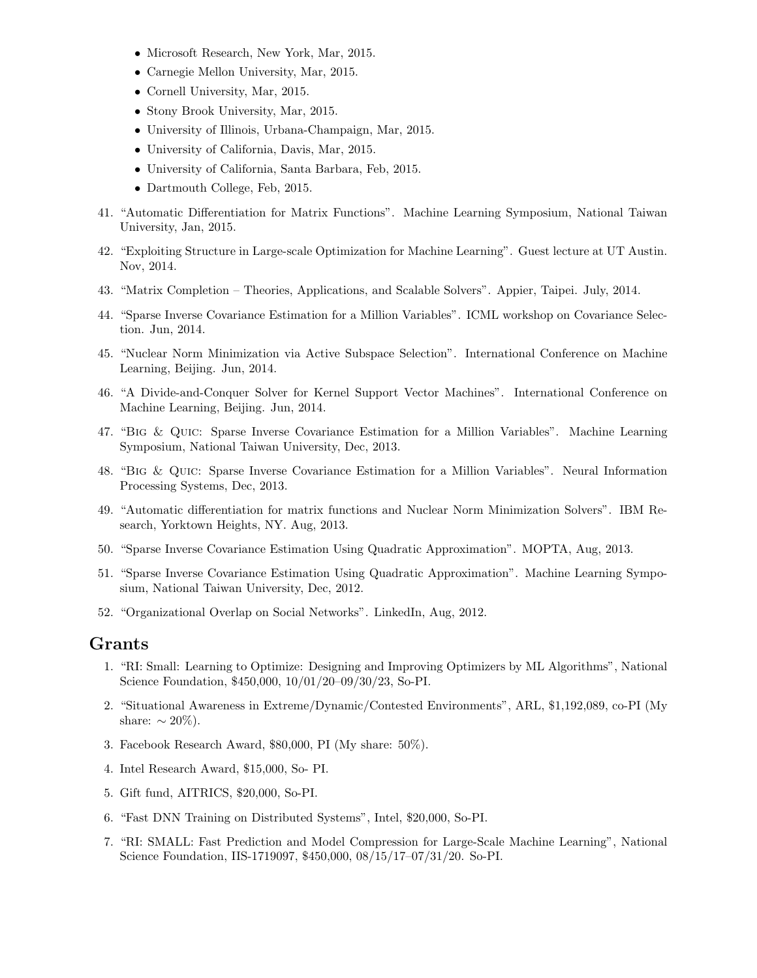- Microsoft Research, New York, Mar, 2015.
- Carnegie Mellon University, Mar, 2015.
- Cornell University, Mar, 2015.
- Stony Brook University, Mar, 2015.
- University of Illinois, Urbana-Champaign, Mar, 2015.
- University of California, Davis, Mar, 2015.
- University of California, Santa Barbara, Feb, 2015.
- Dartmouth College, Feb, 2015.
- 41. "Automatic Differentiation for Matrix Functions". Machine Learning Symposium, National Taiwan University, Jan, 2015.
- 42. "Exploiting Structure in Large-scale Optimization for Machine Learning". Guest lecture at UT Austin. Nov, 2014.
- 43. "Matrix Completion Theories, Applications, and Scalable Solvers". Appier, Taipei. July, 2014.
- 44. "Sparse Inverse Covariance Estimation for a Million Variables". ICML workshop on Covariance Selection. Jun, 2014.
- 45. "Nuclear Norm Minimization via Active Subspace Selection". International Conference on Machine Learning, Beijing. Jun, 2014.
- 46. "A Divide-and-Conquer Solver for Kernel Support Vector Machines". International Conference on Machine Learning, Beijing. Jun, 2014.
- 47. "Big & Quic: Sparse Inverse Covariance Estimation for a Million Variables". Machine Learning Symposium, National Taiwan University, Dec, 2013.
- 48. "Big & Quic: Sparse Inverse Covariance Estimation for a Million Variables". Neural Information Processing Systems, Dec, 2013.
- 49. "Automatic differentiation for matrix functions and Nuclear Norm Minimization Solvers". IBM Research, Yorktown Heights, NY. Aug, 2013.
- 50. "Sparse Inverse Covariance Estimation Using Quadratic Approximation". MOPTA, Aug, 2013.
- 51. "Sparse Inverse Covariance Estimation Using Quadratic Approximation". Machine Learning Symposium, National Taiwan University, Dec, 2012.
- 52. "Organizational Overlap on Social Networks". LinkedIn, Aug, 2012.

### Grants

- 1. "RI: Small: Learning to Optimize: Designing and Improving Optimizers by ML Algorithms", National Science Foundation, \$450,000, 10/01/20–09/30/23, So-PI.
- 2. "Situational Awareness in Extreme/Dynamic/Contested Environments", ARL, \$1,192,089, co-PI (My share:  $\sim 20\%$ ).
- 3. Facebook Research Award, \$80,000, PI (My share: 50%).
- 4. Intel Research Award, \$15,000, So- PI.
- 5. Gift fund, AITRICS, \$20,000, So-PI.
- 6. "Fast DNN Training on Distributed Systems", Intel, \$20,000, So-PI.
- 7. "RI: SMALL: Fast Prediction and Model Compression for Large-Scale Machine Learning", National Science Foundation, IIS-1719097, \$450,000, 08/15/17–07/31/20. So-PI.